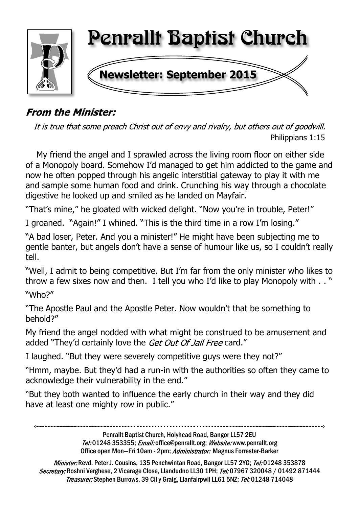

## **From the Minister:**

It is true that some preach Christ out of envy and rivalry, but others out of goodwill. Philippians 1:15

 My friend the angel and I sprawled across the living room floor on either side of a Monopoly board. Somehow I'd managed to get him addicted to the game and now he often popped through his angelic interstitial gateway to play it with me and sample some human food and drink. Crunching his way through a chocolate digestive he looked up and smiled as he landed on Mayfair.

"That's mine," he gloated with wicked delight. "Now you're in trouble, Peter!"

I groaned. "Again!" I whined. "This is the third time in a row I'm losing."

"A bad loser, Peter. And you a minister!" He might have been subjecting me to gentle banter, but angels don't have a sense of humour like us, so I couldn't really tell.

"Well, I admit to being competitive. But I'm far from the only minister who likes to throw a few sixes now and then. I tell you who I'd like to play Monopoly with . . " "Who?"

"The Apostle Paul and the Apostle Peter. Now wouldn't that be something to behold?"

My friend the angel nodded with what might be construed to be amusement and added "They'd certainly love the Get Out Of Jail Free card."

I laughed. "But they were severely competitive guys were they not?"

"Hmm, maybe. But they'd had a run-in with the authorities so often they came to acknowledge their vulnerability in the end."

"But they both wanted to influence the early church in their way and they did have at least one mighty row in public."

> Penrallt Baptist Church, Holyhead Road, Bangor LL57 2EU Tel:01248 353355; Email: office@penrallt.org; Website: www.penrallt.org Office open Mon-Fri 10am - 2pm; Administrator: Magnus Forrester-Barker

Minister: Revd. Peter J. Cousins, 135 Penchwintan Road, Bangor LL57 2YG; Tel: 01248 353878 Secretary: Roshni Verghese, 2 Vicarage Close, Llandudno LL30 1PH; Tel: 07967 320048 / 01492 871444 Treasurer: Stephen Burrows, 39 Cil y Graig, Llanfairpwll LL61 5NZ; Tel: 01248 714048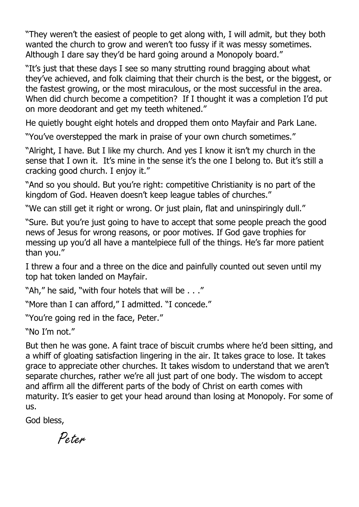"They weren't the easiest of people to get along with, I will admit, but they both wanted the church to grow and weren't too fussy if it was messy sometimes. Although I dare say they'd be hard going around a Monopoly board."

"It's just that these days I see so many strutting round bragging about what they've achieved, and folk claiming that their church is the best, or the biggest, or the fastest growing, or the most miraculous, or the most successful in the area. When did church become a competition? If I thought it was a completion I'd put on more deodorant and get my teeth whitened."

He quietly bought eight hotels and dropped them onto Mayfair and Park Lane.

"You've overstepped the mark in praise of your own church sometimes."

"Alright, I have. But I like my church. And yes I know it isn't my church in the sense that I own it. It's mine in the sense it's the one I belong to. But it's still a cracking good church. I enjoy it."

"And so you should. But you're right: competitive Christianity is no part of the kingdom of God. Heaven doesn't keep league tables of churches."

"We can still get it right or wrong. Or just plain, flat and uninspiringly dull."

"Sure. But you're just going to have to accept that some people preach the good news of Jesus for wrong reasons, or poor motives. If God gave trophies for messing up you'd all have a mantelpiece full of the things. He's far more patient than you."

I threw a four and a three on the dice and painfully counted out seven until my top hat token landed on Mayfair.

"Ah," he said, "with four hotels that will be . . ."

"More than I can afford," I admitted. "I concede."

"You're going red in the face, Peter."

"No I'm not."

But then he was gone. A faint trace of biscuit crumbs where he'd been sitting, and a whiff of gloating satisfaction lingering in the air. It takes grace to lose. It takes grace to appreciate other churches. It takes wisdom to understand that we aren't separate churches, rather we're all just part of one body. The wisdom to accept and affirm all the different parts of the body of Christ on earth comes with maturity. It's easier to get your head around than losing at Monopoly. For some of us.

God bless,

Peter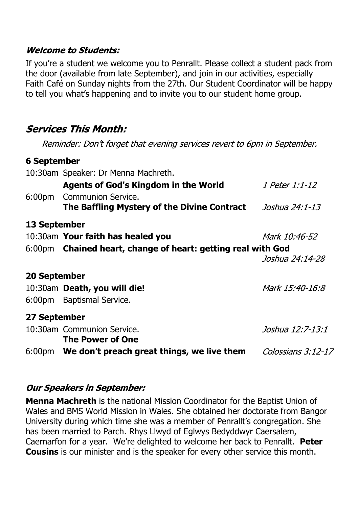#### **Welcome to Students:**

If you're a student we welcome you to Penrallt. Please collect a student pack from the door (available from late September), and join in our activities, especially Faith Café on Sunday nights from the 27th. Our Student Coordinator will be happy to tell you what's happening and to invite you to our student home group.

## **Services This Month:**

Reminder: Don't forget that evening services revert to 6pm in September.

#### **6 September**

|                    | 10:30am Speaker: Dr Menna Machreth.                                      |                       |
|--------------------|--------------------------------------------------------------------------|-----------------------|
|                    | <b>Agents of God's Kingdom in the World</b>                              | <i>1 Peter 1:1-12</i> |
| 6:00 <sub>pm</sub> | <b>Communion Service.</b><br>The Baffling Mystery of the Divine Contract | Joshua 24:1-13        |
| 13 September       |                                                                          |                       |
|                    | 10:30am Your faith has healed you                                        | Mark 10:46-52         |
|                    | 6:00pm Chained heart, change of heart: getting real with God             |                       |
|                    |                                                                          | Joshua 24:14-28       |
| 20 September       |                                                                          |                       |
|                    | 10:30am Death, you will die!                                             | Mark 15:40-16:8       |
| 6:00pm             | <b>Baptismal Service.</b>                                                |                       |
| 27 September       |                                                                          |                       |
|                    | 10:30am Communion Service.                                               | Joshua 12:7-13:1      |
|                    | <b>The Power of One</b>                                                  |                       |
| 6:00pm             | We don't preach great things, we live them                               | Colossians 3:12-17    |
|                    |                                                                          |                       |

#### **Our Speakers in September:**

**Menna Machreth** is the national Mission Coordinator for the Baptist Union of Wales and BMS World Mission in Wales. She obtained her doctorate from Bangor University during which time she was a member of Penrallt's congregation. She has been married to Parch. Rhys Llwyd of Eglwys Bedyddwyr Caersalem, Caernarfon for a year. We're delighted to welcome her back to Penrallt. **Peter Cousins** is our minister and is the speaker for every other service this month.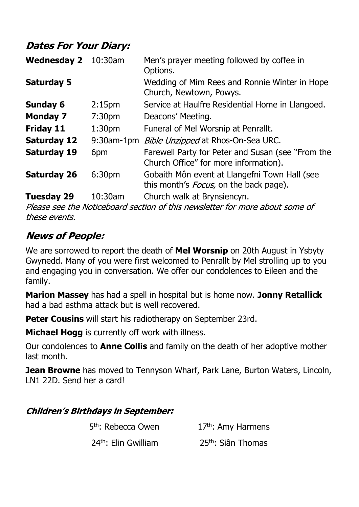## **Dates For Your Diary:**

| <b>Wednesday 2</b> | $10:30$ am         | Men's prayer meeting followed by coffee in<br>Options.                                          |
|--------------------|--------------------|-------------------------------------------------------------------------------------------------|
| <b>Saturday 5</b>  |                    | Wedding of Mim Rees and Ronnie Winter in Hope<br>Church, Newtown, Powys.                        |
| <b>Sunday 6</b>    | 2:15 <sub>pm</sub> | Service at Haulfre Residential Home in Llangoed.                                                |
| <b>Monday 7</b>    | 7:30 <sub>pm</sub> | Deacons' Meeting.                                                                               |
| <b>Friday 11</b>   | 1:30 <sub>pm</sub> | Funeral of Mel Worsnip at Penrallt.                                                             |
| <b>Saturday 12</b> |                    | 9:30am-1pm <i>Bible Unzipped</i> at Rhos-On-Sea URC.                                            |
| <b>Saturday 19</b> | 6pm                | Farewell Party for Peter and Susan (see "From the<br>Church Office" for more information).      |
| <b>Saturday 26</b> | 6:30pm             | Gobaith Môn event at Llangefni Town Hall (see<br>this month's <i>Focus</i> , on the back page). |
| <b>Tuesday 29</b>  | 10:30am            | Church walk at Brynsiencyn.                                                                     |

Please see the Noticeboard section of this newsletter for more about some of these events.

## **News of People:**

We are sorrowed to report the death of **Mel Worsnip** on 20th August in Ysbyty Gwynedd. Many of you were first welcomed to Penrallt by Mel strolling up to you and engaging you in conversation. We offer our condolences to Eileen and the family.

**Marion Massey** has had a spell in hospital but is home now. **Jonny Retallick** had a bad asthma attack but is well recovered.

**Peter Cousins** will start his radiotherapy on September 23rd.

**Michael Hogg** is currently off work with illness.

Our condolences to **Anne Collis** and family on the death of her adoptive mother last month.

**Jean Browne** has moved to Tennyson Wharf, Park Lane, Burton Waters, Lincoln, LN1 22D. Send her a card!

#### **Children's Birthdays in September:**

| 5 <sup>th</sup> : Rebecca Owen | 17 <sup>th</sup> : Amy Harmens |
|--------------------------------|--------------------------------|
| $24th$ : Elin Gwilliam         | 25 <sup>th</sup> : Siân Thomas |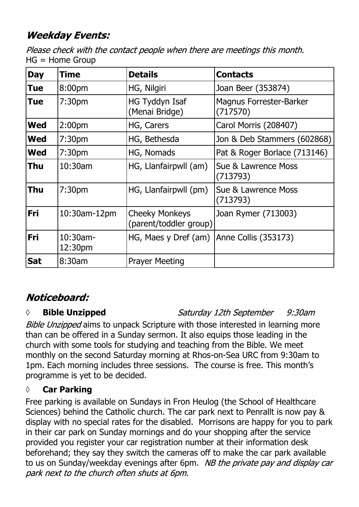## **Weekday Events:**

Please check with the contact people when there are meetings this month. HG = Home Group

| <b>Day</b> | Time                | <b>Details</b>                                  | <b>Contacts</b>                            |
|------------|---------------------|-------------------------------------------------|--------------------------------------------|
| <b>Tue</b> | 8:00pm              | HG, Nilgiri                                     | Joan Beer (353874)                         |
| <b>Tue</b> | 7:30 <sub>pm</sub>  | HG Tyddyn Isaf<br>(Menai Bridge)                | <b>Magnus Forrester-Barker</b><br>(717570) |
| <b>Wed</b> | 2:00 <sub>pm</sub>  | HG, Carers                                      | Carol Morris (208407)                      |
| <b>Wed</b> | 7:30 <sub>pm</sub>  | HG, Bethesda                                    | Jon & Deb Stammers (602868)                |
| <b>Wed</b> | 7:30pm              | HG, Nomads                                      | Pat & Roger Borlace (713146)               |
| <b>Thu</b> | 10:30am             | HG, Llanfairpwll (am)                           | Sue & Lawrence Moss<br>(713793)            |
| <b>Thu</b> | 7:30pm              | HG, Llanfairpwll (pm)                           | Sue & Lawrence Moss<br>(713793)            |
| Fri        | 10:30am-12pm        | <b>Cheeky Monkeys</b><br>(parent/toddler group) | Joan Rymer (713003)                        |
| Fri        | 10:30am-<br>12:30pm | HG, Maes y Dref (am)                            | Anne Collis (353173)                       |
| <b>Sat</b> | 8:30am              | <b>Prayer Meeting</b>                           |                                            |

## Noticeboard:

## *◊* **Bible Unzipped**

Saturday 12th September  $9:30$ am

Bible Unzipped aims to unpack Scripture with those interested in learning more than can be offered in a Sunday sermon. It also equips those leading in the church with some tools for studying and teaching from the Bible. We meet monthly on the second Saturday morning at Rhos-on-Sea URC from 9:30am to 1pm. Each morning includes three sessions. The course is free. This month's programme is yet to be decided.

## **◊ Car Parking**

Free parking is available on Sundays in Fron Heulog (the School of Healthcare Sciences) behind the Catholic church. The car park next to Penrallt is now pay & display with no special rates for the disabled. Morrisons are happy for you to park in their car park on Sunday mornings and do your shopping after the service provided you register your car registration number at their information desk beforehand; they say they switch the cameras off to make the car park available to us on Sunday/weekday evenings after 6pm. NB the private pay and display car park next to the church often shuts at 6pm.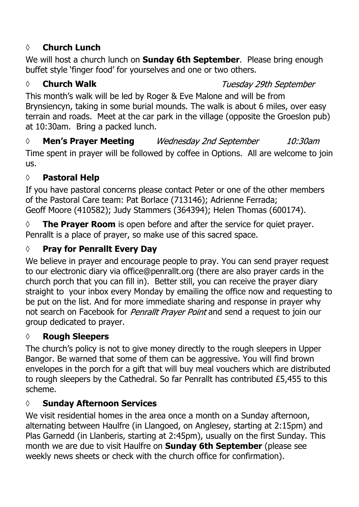## **◊ Church Lunch**

We will host a church lunch on **Sunday 6th September**. Please bring enough buffet style 'finger food' for yourselves and one or two others.

#### *◊* **Church Walk**

#### Tuesday 29th September

This month's walk will be led by Roger & Eve Malone and will be from Brynsiencyn, taking in some burial mounds. The walk is about 6 miles, over easy terrain and roads. Meet at the car park in the village (opposite the Groeslon pub) at 10:30am. Bring a packed lunch.

*◊* **Men's Prayer Meeting** 10:30am Time spent in prayer will be followed by coffee in Options. All are welcome to join us.

## **◊ Pastoral Help**

If you have pastoral concerns please contact Peter or one of the other members of the Pastoral Care team: Pat Borlace (713146); Adrienne Ferrada; Geoff Moore (410582); Judy Stammers (364394); Helen Thomas (600174).

**◊ The Prayer Room** is open before and after the service for quiet prayer. Penrallt is a place of prayer, so make use of this sacred space.

## **◊ Pray for Penrallt Every Day**

We believe in prayer and encourage people to pray. You can send prayer request to our electronic diary via office@penrallt.org (there are also prayer cards in the church porch that you can fill in). Better still, you can receive the prayer diary straight to your inbox every Monday by emailing the office now and requesting to be put on the list. And for more immediate sharing and response in prayer why not search on Facebook for *Penrallt Prayer Point* and send a request to join our group dedicated to prayer.

#### **◊ Rough Sleepers**

The church's policy is not to give money directly to the rough sleepers in Upper Bangor. Be warned that some of them can be aggressive. You will find brown envelopes in the porch for a gift that will buy meal vouchers which are distributed to rough sleepers by the Cathedral. So far Penrallt has contributed £5,455 to this scheme.

#### **◊ Sunday Afternoon Services**

We visit residential homes in the area once a month on a Sunday afternoon, alternating between Haulfre (in Llangoed, on Anglesey, starting at 2:15pm) and Plas Garnedd (in Llanberis, starting at 2:45pm), usually on the first Sunday. This month we are due to visit Haulfre on **Sunday 6th September** (please see weekly news sheets or check with the church office for confirmation).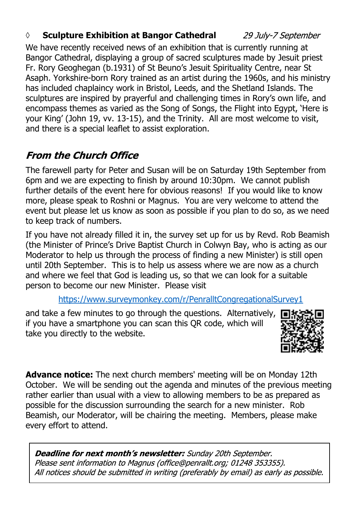### *◊* **Sculpture Exhibition at Bangor Cathedral**

29 July-7 September

We have recently received news of an exhibition that is currently running at Bangor Cathedral, displaying a group of sacred sculptures made by Jesuit priest Fr. Rory Geoghegan (b.1931) of St Beuno's Jesuit Spirituality Centre, near St Asaph. Yorkshire-born Rory trained as an artist during the 1960s, and his ministry has included chaplaincy work in Bristol, Leeds, and the Shetland Islands. The sculptures are inspired by prayerful and challenging times in Rory's own life, and encompass themes as varied as the Song of Songs, the Flight into Egypt, 'Here is your King' (John 19, vv. 13-15), and the Trinity. All are most welcome to visit, and there is a special leaflet to assist exploration.

## **From the Church Office**

The farewell party for Peter and Susan will be on Saturday 19th September from 6pm and we are expecting to finish by around 10:30pm. We cannot publish further details of the event here for obvious reasons! If you would like to know more, please speak to Roshni or Magnus. You are very welcome to attend the event but please let us know as soon as possible if you plan to do so, as we need to keep track of numbers.

If you have not already filled it in, the survey set up for us by Revd. Rob Beamish (the Minister of Prince's Drive Baptist Church in Colwyn Bay, who is acting as our Moderator to help us through the process of finding a new Minister) is still open until 20th September. This is to help us assess where we are now as a church and where we feel that God is leading us, so that we can look for a suitable person to become our new Minister. Please visit

#### https://www.surveymonkey.com/r/PenralltCongregationalSurvey1

and take a few minutes to go through the questions. Alternatively, if you have a smartphone you can scan this QR code, which will take you directly to the website.



**Advance notice:** The next church members' meeting will be on Monday 12th October. We will be sending out the agenda and minutes of the previous meeting rather earlier than usual with a view to allowing members to be as prepared as possible for the discussion surrounding the search for a new minister. Rob Beamish, our Moderator, will be chairing the meeting. Members, please make every effort to attend.

**Deadline for next month's newsletter:** Sunday 20th September. Please sent information to Magnus (office@penrallt.org; 01248 353355). All notices should be submitted in writing (preferably by email) as early as possible.